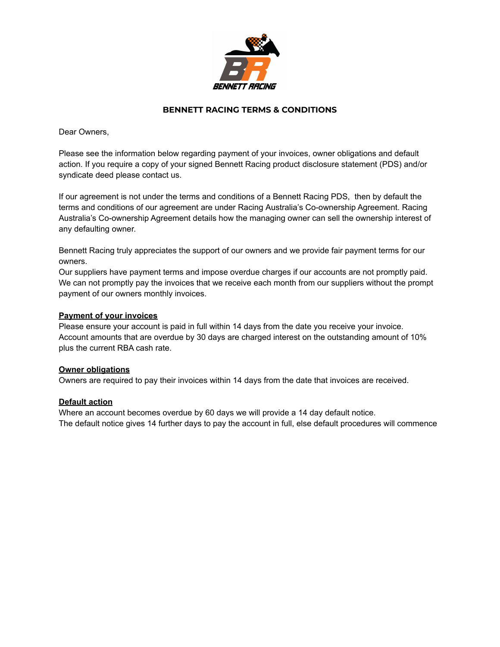

## **BENNETT RACING TERMS & CONDITIONS**

Dear Owners,

Please see the information below regarding payment of your invoices, owner obligations and default action. If you require a copy of your signed Bennett Racing product disclosure statement (PDS) and/or syndicate deed please contact us.

If our agreement is not under the terms and conditions of a Bennett Racing PDS, then by default the terms and conditions of our agreement are under Racing Australia's Co-ownership Agreement. Racing Australia's Co-ownership Agreement details how the managing owner can sell the ownership interest of any defaulting owner.

Bennett Racing truly appreciates the support of our owners and we provide fair payment terms for our owners.

Our suppliers have payment terms and impose overdue charges if our accounts are not promptly paid. We can not promptly pay the invoices that we receive each month from our suppliers without the prompt payment of our owners monthly invoices.

#### **Payment of your invoices**

Please ensure your account is paid in full within 14 days from the date you receive your invoice. Account amounts that are overdue by 30 days are charged interest on the outstanding amount of 10% plus the current RBA cash rate.

#### **Owner obligations**

Owners are required to pay their invoices within 14 days from the date that invoices are received.

### **Default action**

Where an account becomes overdue by 60 days we will provide a 14 day default notice. The default notice gives 14 further days to pay the account in full, else default procedures will commence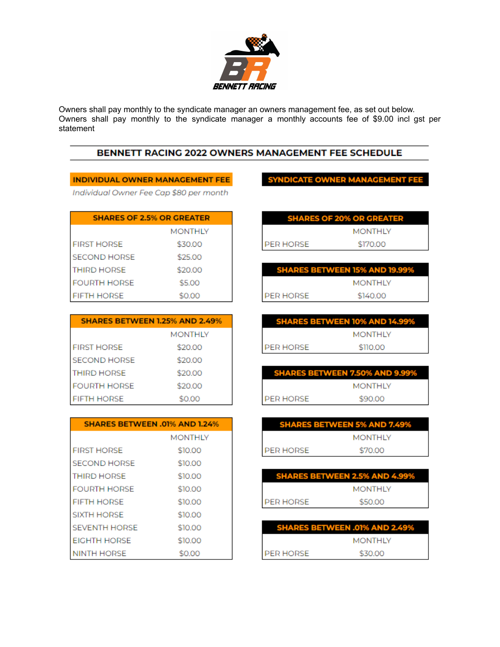

Owners shall pay monthly to the syndicate manager an owners management fee, as set out below.<br>Owners shall pay monthly to the syndicate manager a monthly accounts fee of \$9.00 incl gst per statement

# BENNETT RACING 2022 OWNERS MANAGEMENT FEE SCHEDULE

## INDIVIDUAL OWNER MANAGEMENT FEE

Individual Owner Fee Cap \$80 per month

| <b>SHARES OF 2.5% OR GREATER</b> |                |
|----------------------------------|----------------|
|                                  | <b>MONTHLY</b> |
| <b>FIRST HORSE</b>               | \$30.00        |
| <b>SECOND HORSE</b>              | \$25.00        |
| <b>THIRD HORSE</b>               | \$20.00        |
| <b>FOURTH HORSE</b>              | \$5.00         |
| <b>FIFTH HORSE</b>               | \$0.00         |

| <b>SHARES BETWEEN 1.25% AND 2.49%</b> |                |
|---------------------------------------|----------------|
|                                       | <b>MONTHLY</b> |
| <b>FIRST HORSE</b>                    | \$20.00        |
| <b>SECOND HORSE</b>                   | \$20.00        |
| <b>THIRD HORSE</b>                    | \$20.00        |
| <b>FOURTH HORSE</b>                   | \$20.00        |
| <b>FIFTH HORSE</b>                    | \$0.00         |

| <b>SHARES BETWEEN .01% AND 1.24%</b> |                |
|--------------------------------------|----------------|
|                                      | <b>MONTHLY</b> |
| <b>FIRST HORSE</b>                   | \$10.00        |
| <b>SECOND HORSE</b>                  | \$10.00        |
| <b>THIRD HORSE</b>                   | \$10,00        |
| <b>FOURTH HORSE</b>                  | \$10,00        |
| <b>FIFTH HORSE</b>                   | \$10,00        |
| <b>SIXTH HORSE</b>                   | \$10,00        |
| <b>SEVENTH HORSE</b>                 | \$10,00        |
| <b>EIGHTH HORSE</b>                  | \$10,00        |
| <b>NINTH HORSE</b>                   | \$0.00         |

**SYNDICATE OWNER MANAGEMENT FE** 

|                  | <b>SHARES OF 20% OR GREATER</b> |
|------------------|---------------------------------|
|                  | <b>MONTHLY</b>                  |
| <b>PER HORSE</b> | \$170.00                        |

|           | <b>SHARES BETWEEN 15% AND 19.99%</b> |
|-----------|--------------------------------------|
|           | <b>MONTHLY</b>                       |
| PER HORSE | \$140.00                             |

|           | <b>SHARES BETWEEN 10% AND 14.99%</b> |
|-----------|--------------------------------------|
|           | <b>MONTHLY</b>                       |
| PER HORSE | \$110.00                             |

|           | <b>SHARES BETWEEN 7.50% AND 9.99%</b> |
|-----------|---------------------------------------|
|           | <b>MONTHLY</b>                        |
| PER HORSE | \$90.00                               |

| <b>MONTHLY</b>       |  |
|----------------------|--|
| \$70.00<br>PER HORSE |  |

| <b>SHARES BETWEEN 2.5% AND 4.99%</b> |                |
|--------------------------------------|----------------|
|                                      | <b>MONTHLY</b> |
| PER HORSE                            | \$50.00        |

| <b>SHARES BETWEEN .01% AND 2.49%</b> |                |
|--------------------------------------|----------------|
|                                      | <b>MONTHLY</b> |
| <b>PER HORSE</b>                     | \$30.00        |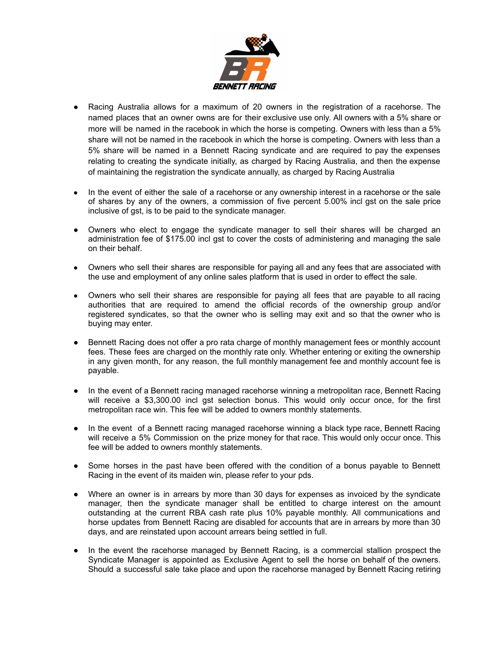

- Racing Australia allows for a maximum of 20 owners in the registration of a racehorse. The named places that an owner owns are for their exclusive use only. All owners with a 5% share or more will be named in the racebook in which the horse is competing. Owners with less than a 5% share will not be named in the racebook in which the horse is competing. Owners with less than a 5% share will be named in a Bennett Racing syndicate and are required to pay the expenses relating to creating the syndicate initially, as charged by Racing Australia, and then the expense of maintaining the registration the syndicate annually, as charged by Racing Australia
- In the event of either the sale of a racehorse or any ownership interest in a racehorse or the sale of shares by any of the owners, a commission of five percent 5.00% incl gst on the sale price inclusive of gst, is to be paid to the syndicate manager.
- Owners who elect to engage the syndicate manager to sell their shares will be charged an administration fee of \$175.00 incl gst to cover the costs of administering and managing the sale on their behalf.
- Owners who sell their shares are responsible for paying all and any fees that are associated with the use and employment of any online sales platform that is used in order to effect the sale.
- Owners who sell their shares are responsible for paying all fees that are payable to all racing authorities that are required to amend the official records of the ownership group and/or registered syndicates, so that the owner who is selling may exit and so that the owner who is buying may enter.
- Bennett Racing does not offer a pro rata charge of monthly management fees or monthly account fees. These fees are charged on the monthly rate only. Whether entering or exiting the ownership in any given month, for any reason, the full monthly management fee and monthly account fee is payable.
- In the event of a Bennett racing managed racehorse winning a metropolitan race, Bennett Racing will receive a \$3,300.00 incl gst selection bonus. This would only occur once, for the first metropolitan race win. This fee will be added to owners monthly statements.
- In the event of a Bennett racing managed racehorse winning a black type race, Bennett Racing will receive a 5% Commission on the prize money for that race. This would only occur once. This fee will be added to owners monthly statements.
- Some horses in the past have been offered with the condition of a bonus payable to Bennett Racing in the event of its maiden win, please refer to your pds.
- Where an owner is in arrears by more than 30 days for expenses as invoiced by the syndicate manager, then the syndicate manager shall be entitled to charge interest on the amount outstanding at the current RBA cash rate plus 10% payable monthly. All communications and horse updates from Bennett Racing are disabled for accounts that are in arrears by more than 30 days, and are reinstated upon account arrears being settled in full.
- In the event the racehorse managed by Bennett Racing, is a commercial stallion prospect the Syndicate Manager is appointed as Exclusive Agent to sell the horse on behalf of the owners. Should a successful sale take place and upon the racehorse managed by Bennett Racing retiring